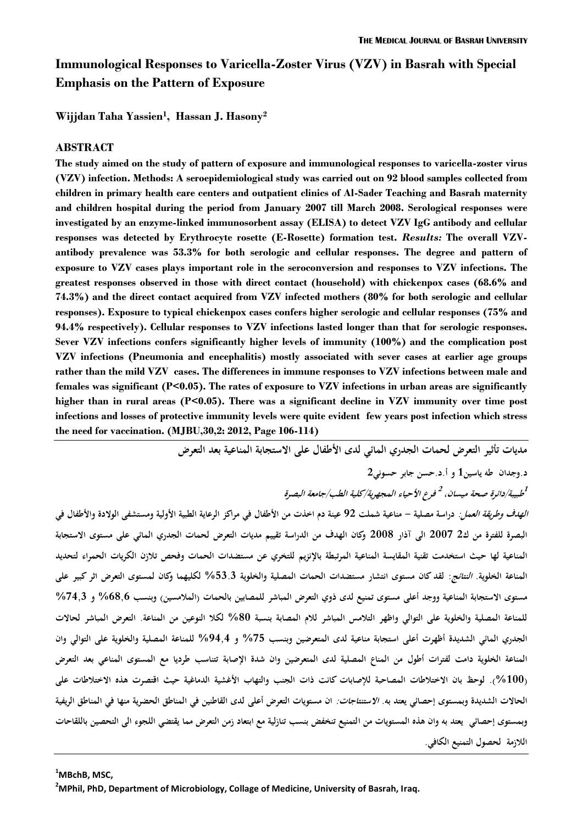# **Immunological Responses to Varicella-Zoster Virus (VZV) in Basrah with Special Emphasis on the Pattern of Exposure**

**Wijjdan Taha Yassien<sup>1</sup> , Hassan J. Hasony<sup>2</sup>**

## **ABSTRACT**

**The study aimed on the study of pattern of exposure and immunological responses to varicella-zoster virus (VZV) infection. Methods: A seroepidemiological study was carried out on 92 blood samples collected from children in primary health care centers and outpatient clinics of Al-Sader Teaching and Basrah maternity and children hospital during the period from January 2007 till March 2008. Serological responses were investigated by an enzyme-linked immunosorbent assay (ELISA) to detect VZV IgG antibody and cellular responses was detected by Erythrocyte rosette (E-Rosette) formation test.** *Results:* **The overall VZVantibody prevalence was 53.3% for both serologic and cellular responses. The degree and pattern of exposure to VZV cases plays important role in the seroconversion and responses to VZV infections. The greatest responses observed in those with direct contact (household) with chickenpox cases (68.6% and 74.3%) and the direct contact acquired from VZV infected mothers (80% for both serologic and cellular responses). Exposure to typical chickenpox cases confers higher serologic and cellular responses (75% and 94.4% respectively). Cellular responses to VZV infections lasted longer than that for serologic responses. Sever VZV infections confers significantly higher levels of immunity (100%) and the complication post VZV infections (Pneumonia and encephalitis) mostly associated with sever cases at earlier age groups rather than the mild VZV cases. The differences in immune responses to VZV infections between male and females was significant (P<0.05). The rates of exposure to VZV infections in urban areas are significantly higher than in rural areas (P<0.05). There was a significant decline in VZV immunity over time post infections and losses of protective immunity levels were quite evident few years post infection which stress the need for vaccination. (MJBU,30,2: 2012, Page 106-114)**

> **مديات تأثير التعرض لحمات الجدري المائي لدى األطفال على االستجابة المناعية بعد التعرض د.وجدان طه ياسين1 و أ.د.حسن جابر حسوني2**

 $1$ طبيبة/دائرة صحة ميسان، <sup>2</sup> فرع الأحياء المجهرية/كلية الطب/جامعة البصرة

**الهدف وطريقة العمل: دراسة مصلية - مناعية شملت 22 عينة دم اخذت من األطفال في مراكز الرعاية الطبية األولية ومستشفى الوالدة واألطفال في البصرة للفترة من ك2 2002 الى آذار 2002 وكان الهدف من الدراسة تقييم مديات التعرض لحمات الجدري المائي على مستوى االستجابة المناعية لها حيث استخدمت تقنية المقايسة المناعية المرتبطة باإلنزيم للتخري عن مستضدات الحمات وفحص تالزن الكريات الحمراء لتحديد المناعة الخلوية. النتائج: لقد كان مستوى انتشار مستضدات الحمات المصلية والخلوية %35.5 لكليهما وكان لمستوى التعرض اثر كبير على مستوى االستجابة المناعية ووجد أعلى مستوى تمنيع لدى ذوي التعرض المباشر للمصابين بالحمات )المالمسين( وبنسب %6286 و %2,85 للمناعة المصلية والخلوية على التوالي واظهر التالمس المباشر لالم المصابة بنسبة %20 لكال النوعين من المناعة. التعرض المباشر لحاالت الجدري المائي الشديدة أظهرت أعلى استجابة مناعية لدى المتعرضين وبنسب %23 و %2,8, للمناعة المصلية والخلوية على التوالي وان المناعة الخلوية دامت لفترات أطول من المناع المصلية لدى المتعرضين وان شدة اإلصابة تتناسب طرديا مع المستوى المناعي بعد التعرض )%100(. لوحظ بان االختالطات المصاحبة لإلصابات كانت ذات الجنب والتهاب األغشية الدماغية حيث اقتصرت هذه االختالطات على الحاالت الشديدة وبمستوى إحصائي يعتد به. االستنتاجات: ان مستويات التعرض أعلى لدى القاطنين في المناطق الحضرية منها في المناطق الريفية وبمستوى إحصائي يعتد به وان هذه المستويات من التمنيع تنخفض بنسب تنازلية مع ابتعاد زمن التعرض مما يقتضي اللجوء الى التحصين باللقاحات الالزمة لحصول التمنيع الكافي.** 

**<sup>1</sup>MBchB, MSC,** 

**<sup>2</sup>MPhil, PhD, Department of Microbiology, Collage of Medicine, University of Basrah, Iraq.**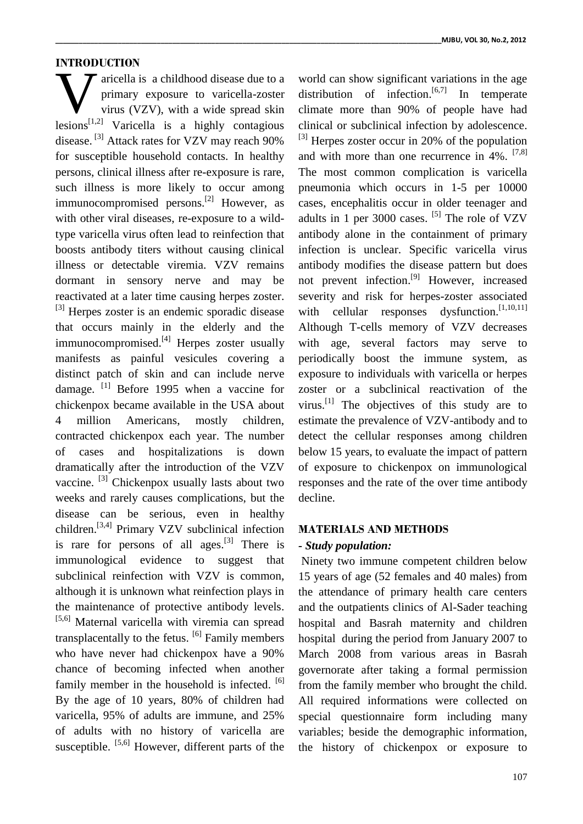# **INTRODUCTION**

aricella is a childhood disease due to a primary exposure to varicella-zoster virus (VZV), with a wide spread skin Marcella is a childhood disease due to a<br>primary exposure to varicella-zoster<br>virus (VZV), with a wide spread skin<br>lesions<sup>[1,2]</sup> Varicella is a highly contagious disease.<sup>[3]</sup> Attack rates for VZV may reach 90% for susceptible household contacts. In healthy persons, clinical illness after re-exposure is rare, such illness is more likely to occur among immunocompromised persons.<sup>[2]</sup> However, as with other viral diseases, re-exposure to a wildtype varicella virus often lead to reinfection that boosts antibody titers without causing clinical illness or detectable viremia. VZV remains dormant in sensory nerve and may be reactivated at a later time causing herpes zoster. <sup>[3]</sup> Herpes zoster is an endemic sporadic disease that occurs mainly in the elderly and the immunocompromised.<sup>[4]</sup> Herpes zoster usually manifests as painful vesicules covering a distinct patch of skin and can include nerve damage. <sup>[1]</sup> Before 1995 when a vaccine for chickenpox became available in the USA about 4 million Americans, mostly children, contracted chickenpox each year. The number of cases and hospitalizations is down dramatically after the introduction of the VZV vaccine. <sup>[3]</sup> Chickenpox usually lasts about two weeks and rarely causes complications, but the disease can be serious, even in healthy children.<sup>[3,4]</sup> Primary VZV subclinical infection is rare for persons of all ages. $[3]$  There is immunological evidence to suggest that subclinical reinfection with VZV is common, although it is unknown what reinfection plays in the maintenance of protective antibody levels. [5,6] Maternal varicella with viremia can spread transplacentally to the fetus. <sup>[6]</sup> Family members who have never had chickenpox have a 90% chance of becoming infected when another family member in the household is infected. [6] By the age of 10 years, 80% of children had varicella, 95% of adults are immune, and 25% of adults with no history of varicella are susceptible.  $[5,6]$  However, different parts of the

world can show significant variations in the age distribution of infection.<sup>[6,7]</sup> In temperate climate more than 90% of people have had clinical or subclinical infection by adolescence.  $^{[3]}$  Herpes zoster occur in 20% of the population and with more than one recurrence in  $4\%$ .  $[7,8]$ The most common complication is varicella pneumonia which occurs in 1-5 per 10000 cases, encephalitis occur in older teenager and adults in 1 per 3000 cases. <sup>[5]</sup> The role of VZV antibody alone in the containment of primary infection is unclear. Specific varicella virus antibody modifies the disease pattern but does not prevent infection.<sup>[9]</sup> However, increased severity and risk for herpes-zoster associated with cellular responses dysfunction.<sup>[1,10,11]</sup> Although T-cells memory of VZV decreases with age, several factors may serve to periodically boost the immune system, as exposure to individuals with varicella or herpes zoster or a subclinical reactivation of the virus.<sup>[1]</sup> The objectives of this study are to estimate the prevalence of VZV-antibody and to detect the cellular responses among children below 15 years, to evaluate the impact of pattern of exposure to chickenpox on immunological responses and the rate of the over time antibody decline.

# **MATERIALS AND METHODS**

#### *- Study population:*

Ninety two immune competent children below 15 years of age (52 females and 40 males) from the attendance of primary health care centers and the outpatients clinics of Al-Sader teaching hospital and Basrah maternity and children hospital during the period from January 2007 to March 2008 from various areas in Basrah governorate after taking a formal permission from the family member who brought the child. All required informations were collected on special questionnaire form including many variables; beside the demographic information, the history of chickenpox or exposure to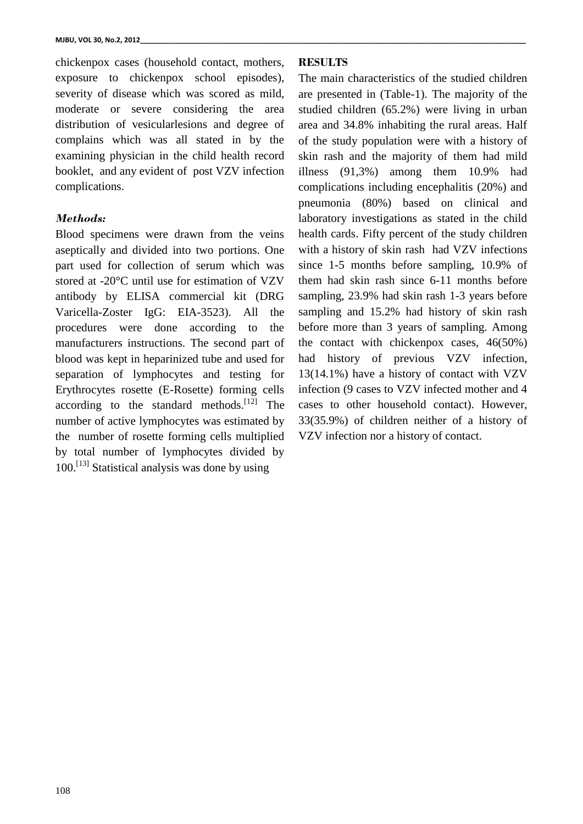chickenpox cases (household contact, mothers, exposure to chickenpox school episodes), severity of disease which was scored as mild, moderate or severe considering the area distribution of vesicularlesions and degree of complains which was all stated in by the examining physician in the child health record booklet, and any evident of post VZV infection complications.

## *Methods:*

Blood specimens were drawn from the veins aseptically and divided into two portions. One part used for collection of serum which was stored at -20°C until use for estimation of VZV antibody by ELISA commercial kit (DRG Varicella-Zoster IgG: EIA-3523). All the procedures were done according to the manufacturers instructions. The second part of blood was kept in heparinized tube and used for separation of lymphocytes and testing for Erythrocytes rosette (E-Rosette) forming cells according to the standard methods.<sup>[12]</sup> The number of active lymphocytes was estimated by the number of rosette forming cells multiplied by total number of lymphocytes divided by 100.<sup>[13]</sup> Statistical analysis was done by using

## **RESULTS**

The main characteristics of the studied children are presented in (Table-1). The majority of the studied children (65.2%) were living in urban area and 34.8% inhabiting the rural areas. Half of the study population were with a history of skin rash and the majority of them had mild illness (91,3%) among them 10.9% had complications including encephalitis (20%) and pneumonia (80%) based on clinical and laboratory investigations as stated in the child health cards. Fifty percent of the study children with a history of skin rash had VZV infections since 1-5 months before sampling, 10.9% of them had skin rash since 6-11 months before sampling, 23.9% had skin rash 1-3 years before sampling and 15.2% had history of skin rash before more than 3 years of sampling. Among the contact with chickenpox cases, 46(50%) had history of previous VZV infection, 13(14.1%) have a history of contact with VZV infection (9 cases to VZV infected mother and 4 cases to other household contact). However, 33(35.9%) of children neither of a history of VZV infection nor a history of contact.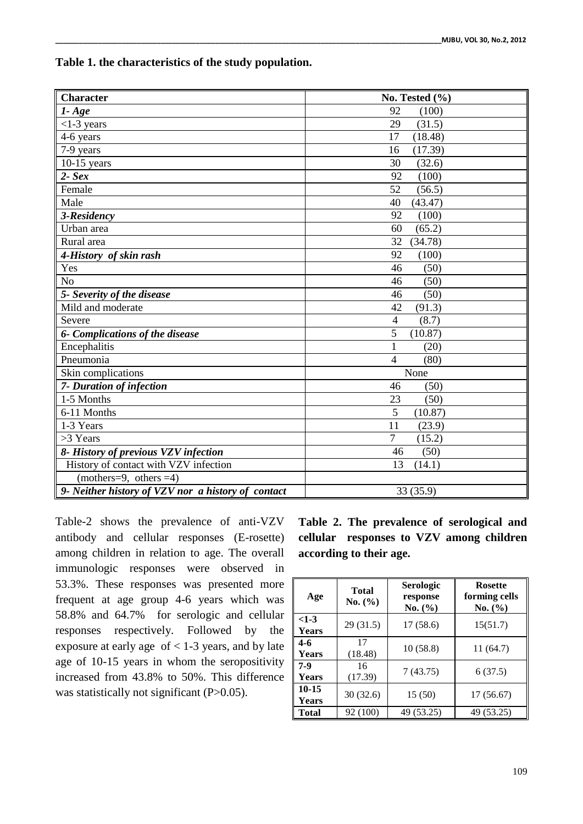| Table 1. the characteristics of the study population. |  |  |
|-------------------------------------------------------|--|--|
|-------------------------------------------------------|--|--|

| <b>Character</b>                                   | No. Tested $(\% )$       |
|----------------------------------------------------|--------------------------|
| $1 - Age$                                          | 92<br>(100)              |
| $<1-3$ years                                       | 29<br>(31.5)             |
| 4-6 years                                          | 17<br>(18.48)            |
| 7-9 years                                          | 16<br>(17.39)            |
| $10-15$ years                                      | 30<br>(32.6)             |
| $2 - Sex$                                          | 92<br>(100)              |
| Female                                             | 52<br>(56.5)             |
| Male                                               | (43.47)<br>40            |
| 3-Residency                                        | 92<br>(100)              |
| Urban area                                         | (65.2)<br>60             |
| Rural area                                         | 32<br>(34.78)            |
| 4-History of skin rash                             | 92<br>(100)              |
| Yes                                                | (50)<br>46               |
| N <sub>o</sub>                                     | (50)<br>46               |
| 5- Severity of the disease                         | (50)<br>46               |
| Mild and moderate                                  | 42<br>(91.3)             |
| Severe                                             | $\overline{4}$<br>(8.7)  |
| 6- Complications of the disease                    | 5<br>(10.87)             |
| Encephalitis                                       | (20)                     |
| Pneumonia                                          | (80)<br>$\overline{4}$   |
| Skin complications                                 | None                     |
| 7- Duration of infection                           | 46<br>(50)               |
| 1-5 Months                                         | 23<br>(50)               |
| 6-11 Months                                        | 5<br>(10.87)             |
| 1-3 Years                                          | 11<br>(23.9)             |
| >3 Years                                           | $\overline{7}$<br>(15.2) |
| 8- History of previous VZV infection               | (50)<br>46               |
| History of contact with VZV infection              | 13<br>(14.1)             |
| (mothers=9, others =4)                             |                          |
| 9- Neither history of VZV nor a history of contact | 33 (35.9)                |

Table-2 shows the prevalence of anti-VZV antibody and cellular responses (E-rosette) among children in relation to age. The overall immunologic responses were observed in 53.3%. These responses was presented more frequent at age group 4-6 years which was 58.8% and 64.7% for serologic and cellular responses respectively. Followed by the exposure at early age  $of < 1-3$  years, and by late age of 10-15 years in whom the seropositivity increased from 43.8% to 50%. This difference was statistically not significant (P>0.05).

**Table 2. The prevalence of serological and cellular responses to VZV among children according to their age.**

| Age                    | Total<br>No. (%) | Serologic<br>response<br>No. (%) | <b>Rosette</b><br>forming cells<br>No. (%) |
|------------------------|------------------|----------------------------------|--------------------------------------------|
| $<1-3$<br><b>Years</b> | 29(31.5)         | 17(58.6)                         | 15(51.7)                                   |
| $4 - 6$<br>Years       | 17<br>(18.48)    | 10(58.8)                         | 11 (64.7)                                  |
| $7-9$<br><b>Years</b>  | 16<br>(17.39)    | 7(43.75)                         | 6(37.5)                                    |
| $10 - 15$<br>Years     | 30(32.6)         | 15 (50)                          | 17(56.67)                                  |
| <b>Total</b>           | 92 (100)         | 49 (53.25)                       | 49 (53.25)                                 |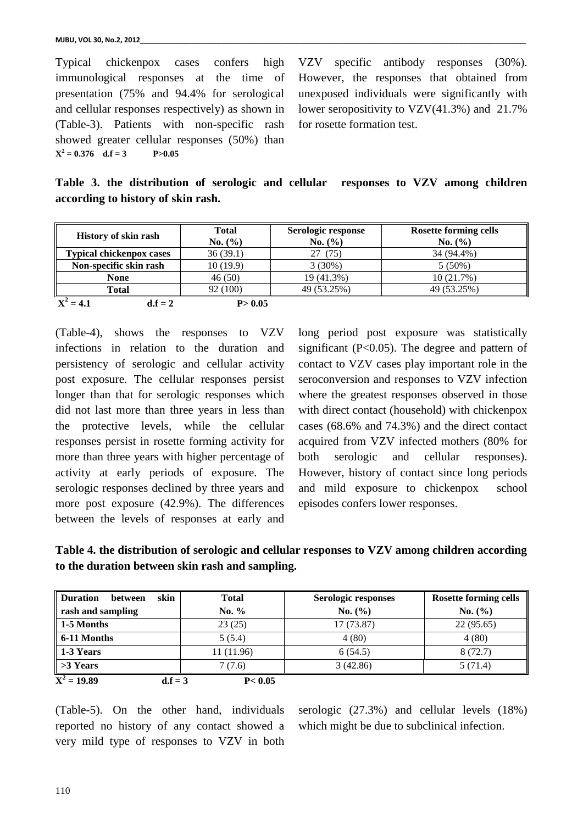Typical chickenpox cases confers high immunological responses at the time of presentation (75% and 94.4% for serological and cellular responses respectively) as shown in (Table-3). Patients with non-specific rash showed greater cellular responses (50%) than  $X^2 = 0.376$  d.f = 3 P>0.05

VZV specific antibody responses (30%). However, the responses that obtained from unexposed individuals were significantly with lower seropositivity to VZV(41.3%) and 21.7% for rosette formation test.

|  | Table 3. the distribution of serologic and cellular responses to VZV among children |  |  |  |  |  |
|--|-------------------------------------------------------------------------------------|--|--|--|--|--|
|  | according to history of skin rash.                                                  |  |  |  |  |  |

| <b>History of skin rash</b>     | <b>Total</b> | Serologic response | <b>Rosette forming cells</b> |
|---------------------------------|--------------|--------------------|------------------------------|
|                                 | No. (%)      | No. (%)            | No. (%)                      |
| <b>Typical chickenpox cases</b> | 36(39.1)     | (75)               | 34 (94.4%)                   |
| Non-specific skin rash          | 10(19.9)     | 3(30%)             | $5(50\%)$                    |
| <b>None</b>                     | 46(50)       | 19 (41.3%)         | 10(21.7%)                    |
| <b>Total</b>                    | 92 (100)     | 49 (53.25%)        | 49 (53.25%)                  |
| $= 4.1$<br>$d.f = 2$            | P > 0.05     |                    |                              |

(Table-4), shows the responses to VZV infections in relation to the duration and persistency of serologic and cellular activity post exposure. The cellular responses persist longer than that for serologic responses which did not last more than three years in less than the protective levels, while the cellular responses persist in rosette forming activity for more than three years with higher percentage of activity at early periods of exposure. The serologic responses declined by three years and more post exposure (42.9%). The differences between the levels of responses at early and

long period post exposure was statistically significant  $(P<0.05)$ . The degree and pattern of contact to VZV cases play important role in the seroconversion and responses to VZV infection where the greatest responses observed in those with direct contact (household) with chickenpox cases (68.6% and 74.3%) and the direct contact acquired from VZV infected mothers (80% for both serologic and cellular responses). However, history of contact since long periods and mild exposure to chickenpox school episodes confers lower responses.

**Table 4. the distribution of serologic and cellular responses to VZV among children according to the duration between skin rash and sampling.**

| skin<br><b>Duration</b><br>between | <b>Total</b>          | Serologic responses | <b>Rosette forming cells</b> |
|------------------------------------|-----------------------|---------------------|------------------------------|
| rash and sampling                  | No. $%$               | No. (%)             | No. (%)                      |
| $1-5$ Months                       | 23(25)                | 17 (73.87)          | 22(95.65)                    |
| $\vert$ 6-11 Months                | 5(5.4)                | 4(80)               | 4(80)                        |
| $\parallel$ 1-3 Years              | 11 (11.96)            | 6(54.5)             | 8(72.7)                      |
| $\Rightarrow$ Years                | 7(7.6)                | 3(42.86)            | 5(71.4)                      |
| $\overline{X^2}$ = 19.89           | P < 0.05<br>$d.f = 3$ |                     |                              |

(Table-5). On the other hand, individuals reported no history of any contact showed a very mild type of responses to VZV in both

serologic (27.3%) and cellular levels (18%) which might be due to subclinical infection.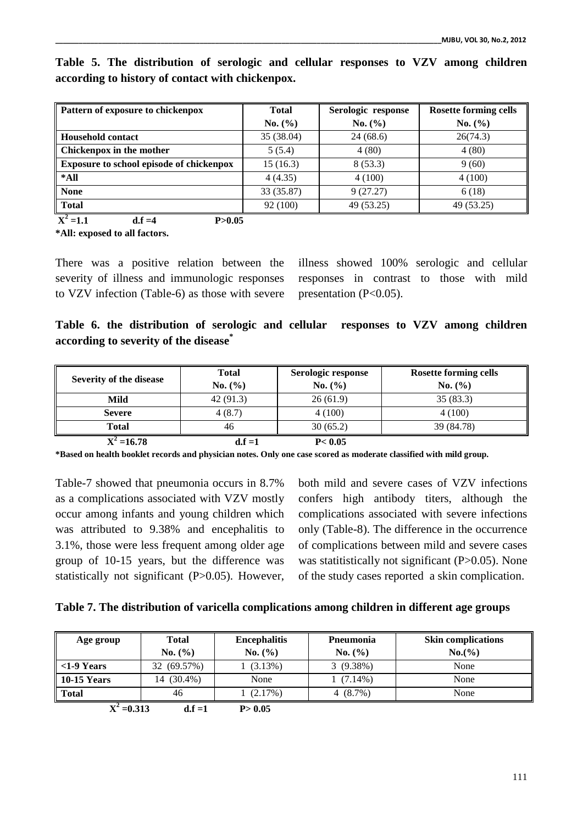| Pattern of exposure to chickenpox               | <b>Total</b> | Serologic response | <b>Rosette forming cells</b> |
|-------------------------------------------------|--------------|--------------------|------------------------------|
|                                                 | No. (%)      | No. (%)            | No. (%)                      |
| <b>Household contact</b>                        | 35 (38.04)   | 24(68.6)           | 26(74.3)                     |
| Chickenpox in the mother                        | 5(5.4)       | 4(80)              | 4(80)                        |
| <b>Exposure to school episode of chickenpox</b> | 15(16.3)     | 8(53.3)            | 9(60)                        |
| *All                                            | 4(4.35)      | 4(100)             | 4(100)                       |
| <b>None</b>                                     | 33 (35.87)   | 9(27.27)           | 6(18)                        |
| Total                                           | 92 (100)     | 49 (53.25)         | 49 (53.25)                   |
| $X^2 = 1.1$<br>P > 0.05<br>$d.f = 4$            |              |                    |                              |

**Table 5. The distribution of serologic and cellular responses to VZV among children according to history of contact with chickenpox.**

**\*All: exposed to all factors.**

There was a positive relation between the severity of illness and immunologic responses to VZV infection (Table-6) as those with severe illness showed 100% serologic and cellular responses in contrast to those with mild presentation (P<0.05).

**Table 6. the distribution of serologic and cellular responses to VZV among children according to severity of the disease\***

| Severity of the disease              | <b>Total</b> | Serologic response        | <b>Rosette forming cells</b> |
|--------------------------------------|--------------|---------------------------|------------------------------|
|                                      | No. (%)      | No. (%)                   | No. (%)                      |
| Mild                                 | 42 (91.3)    | 26(61.9)                  | 35(83.3)                     |
| <b>Severe</b>                        | 4(8.7)       | 4(100)                    | 4(100)                       |
| Total                                | 46           | 30(65.2)                  | 39 (84.78)                   |
| $\mathbf{r}$<br>$\sim$ $\sim$ $\sim$ | <b>10</b> 4  | $\mathbf{R}$ $\mathbf{A}$ |                              |

 $X^2$ **=16.78 d.f =1 P< 0.05 \*Based on health booklet records and physician notes. Only one case scored as moderate classified with mild group.**

Table-7 showed that pneumonia occurs in 8.7% as a complications associated with VZV mostly occur among infants and young children which was attributed to 9.38% and encephalitis to 3.1%, those were less frequent among older age group of 10-15 years, but the difference was

statistically not significant (P>0.05). However,

both mild and severe cases of VZV infections confers high antibody titers, although the complications associated with severe infections only (Table-8). The difference in the occurrence of complications between mild and severe cases was statitistically not significant (P>0.05). None of the study cases reported a skin complication.

|  |  |  |  |  | Table 7. The distribution of varicella complications among children in different age groups |  |  |
|--|--|--|--|--|---------------------------------------------------------------------------------------------|--|--|
|  |  |  |  |  |                                                                                             |  |  |

| Age group     | <b>Total</b> | <b>Encephalitis</b> | Pneumonia   | <b>Skin complications</b> |
|---------------|--------------|---------------------|-------------|---------------------------|
|               | No. (%)      | No. (%)             | No. (%)     | $No.(\% )$                |
| $<1-9$ Years  | 32 (69.57%)  | 1(3.13%)            | 3(9.38%)    | None                      |
| 10-15 Years   | 14 (30.4%)   | None                | $1(7.14\%)$ | None                      |
| Total         | 46           | $(2.17\%)$          | 4 $(8.7\%)$ | None                      |
| $X^2 = 0.313$ | $d.f = 1$    | P > 0.05            |             |                           |

**=0.313 d.f =1 P> 0.05**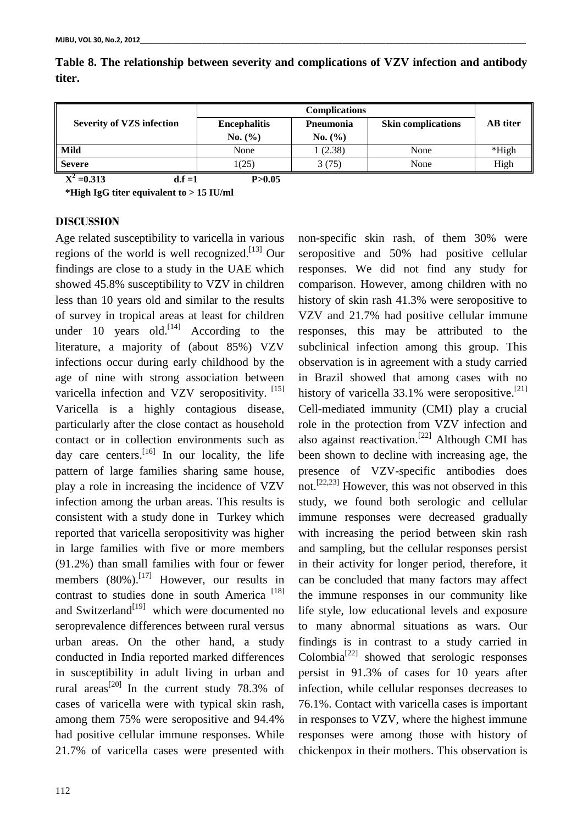| <b>Severity of VZS infection</b> | <b>Encephalitis</b> | Pneumonia | <b>Skin complications</b> | <b>AB</b> titer |
|----------------------------------|---------------------|-----------|---------------------------|-----------------|
|                                  | No. (%)             | No. (%)   |                           |                 |
| <b>Mild</b>                      | None                | 1(2.38)   | None                      | $*$ High        |
| <b>Severe</b>                    | 1(25)               | 3(75)     | None                      | High            |

**Table 8. The relationship between severity and complications of VZV infection and antibody titer.**

 $X^2 = 0.313$  d.f =1 P>0.05  **\*High IgG titer equivalent to > 15 IU/ml**

**DISCUSSION**

Age related susceptibility to varicella in various regions of the world is well recognized.<sup>[13]</sup> Our findings are close to a study in the UAE which showed 45.8% susceptibility to VZV in children less than 10 years old and similar to the results of survey in tropical areas at least for children under 10 years old.<sup>[14]</sup> According to the literature, a majority of (about 85%) VZV infections occur during early childhood by the age of nine with strong association between varicella infection and VZV seropositivity. [15] Varicella is a highly contagious disease, particularly after the close contact as household contact or in collection environments such as day care centers.<sup>[16]</sup> In our locality, the life pattern of large families sharing same house, play a role in increasing the incidence of VZV infection among the urban areas. This results is consistent with a study done in Turkey which reported that varicella seropositivity was higher in large families with five or more members (91.2%) than small families with four or fewer members  $(80\%)$ .<sup>[17]</sup> However, our results in contrast to studies done in south America<sup>[18]</sup> and Switzerland<sup>[19]</sup> which were documented no seroprevalence differences between rural versus urban areas. On the other hand, a study conducted in India reported marked differences in susceptibility in adult living in urban and rural areas<sup>[20]</sup> In the current study 78.3% of cases of varicella were with typical skin rash, among them 75% were seropositive and 94.4% had positive cellular immune responses. While 21.7% of varicella cases were presented with

seropositive and 50% had positive cellular responses. We did not find any study for comparison. However, among children with no history of skin rash 41.3% were seropositive to VZV and 21.7% had positive cellular immune responses, this may be attributed to the subclinical infection among this group. This observation is in agreement with a study carried in Brazil showed that among cases with no history of varicella 33.1% were seropositive.<sup>[21]</sup> Cell-mediated immunity (CMI) play a crucial role in the protection from VZV infection and also against reactivation.<sup>[22]</sup> Although CMI has been shown to decline with increasing age, the presence of VZV-specific antibodies does not.<sup>[22,23]</sup> However, this was not observed in this study, we found both serologic and cellular immune responses were decreased gradually with increasing the period between skin rash and sampling, but the cellular responses persist in their activity for longer period, therefore, it can be concluded that many factors may affect the immune responses in our community like life style, low educational levels and exposure to many abnormal situations as wars. Our findings is in contrast to a study carried in Colombia<sup>[22]</sup> showed that serologic responses persist in 91.3% of cases for 10 years after infection, while cellular responses decreases to 76.1%. Contact with varicella cases is important in responses to VZV, where the highest immune responses were among those with history of chickenpox in their mothers. This observation is

non-specific skin rash, of them 30% were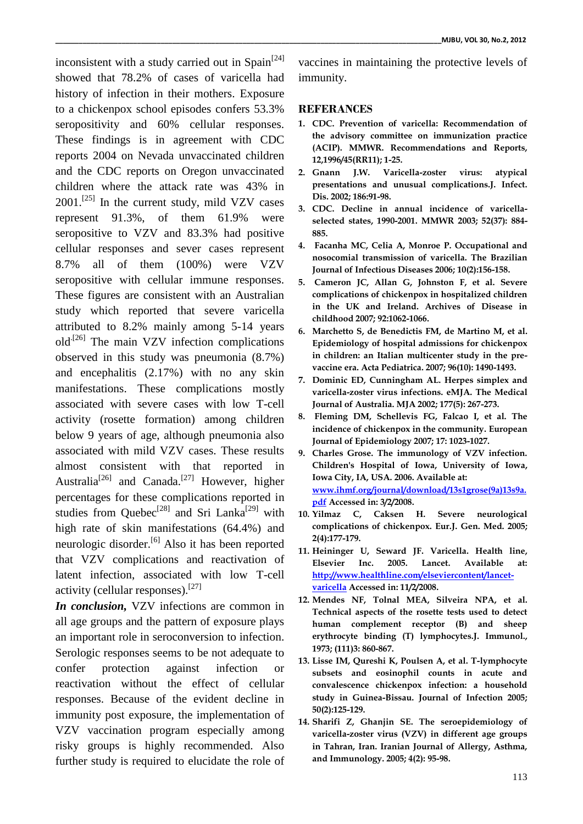inconsistent with a study carried out in Spain<sup>[24]</sup> showed that 78.2% of cases of varicella had history of infection in their mothers. Exposure to a chickenpox school episodes confers 53.3% seropositivity and 60% cellular responses. These findings is in agreement with CDC reports 2004 on Nevada unvaccinated children and the CDC reports on Oregon unvaccinated children where the attack rate was 43% in  $2001$ .<sup>[25]</sup> In the current study, mild VZV cases represent 91.3%, of them 61.9% were seropositive to VZV and 83.3% had positive cellular responses and sever cases represent 8.7% all of them (100%) were VZV seropositive with cellular immune responses. These figures are consistent with an Australian study which reported that severe varicella attributed to 8.2% mainly among 5-14 years old<sup>[26]</sup> The main VZV infection complications observed in this study was pneumonia (8.7%) and encephalitis (2.17%) with no any skin manifestations. These complications mostly associated with severe cases with low T-cell activity (rosette formation) among children below 9 years of age, although pneumonia also associated with mild VZV cases. These results almost consistent with that reported in Australia<sup>[26]</sup> and Canada.<sup>[27]</sup> However, higher percentages for these complications reported in studies from Quebec<sup>[28]</sup> and Sri Lanka<sup>[29]</sup> with high rate of skin manifestations (64.4%) and neurologic disorder.<sup>[6]</sup> Also it has been reported that VZV complications and reactivation of latent infection, associated with low T-cell activity (cellular responses).<sup>[27]</sup>

*In conclusion,* VZV infections are common in all age groups and the pattern of exposure plays an important role in seroconversion to infection. Serologic responses seems to be not adequate to confer protection against infection or reactivation without the effect of cellular responses. Because of the evident decline in immunity post exposure, the implementation of VZV vaccination program especially among risky groups is highly recommended. Also further study is required to elucidate the role of

vaccines in maintaining the protective levels of immunity.

#### **REFERANCES**

- **1. CDC. Prevention of varicella: Recommendation of the advisory committee on immunization practice (ACIP). MMWR. Recommendations and Reports, 12,1996/45(RR11); 1-25.**
- **2. Gnann J.W. Varicella-zoster virus: atypical presentations and unusual complications.J. Infect. Dis. 2002; 186:91-98.**
- **3. CDC. Decline in annual incidence of varicellaselected states, 1990-2001. MMWR 2003; 52(37): 884- 885.**
- **4. Facanha MC, Celia A, Monroe P. Occupational and nosocomial transmission of varicella. The Brazilian Journal of Infectious Diseases 2006; 10(2):156-158.**
- **5. Cameron JC, Allan G, Johnston F, et al. Severe complications of chickenpox in hospitalized children in the UK and Ireland. Archives of Disease in childhood 2007; 92:1062-1066.**
- **6. Marchetto S, de Benedictis FM, de Martino M, et al. Epidemiology of hospital admissions for chickenpox in children: an Italian multicenter study in the prevaccine era. Acta Pediatrica. 2007; 96(10): 1490-1493.**
- **7. Dominic ED, Cunningham AL. Herpes simplex and varicella-zoster virus infections. eMJA. The Medical Journal of Australia. MJA 2002; 177(5): 267-273.**
- **8. Fleming DM, Schellevis FG, Falcao I, et al. The incidence of chickenpox in the community. European Journal of Epidemiology 2007; 17: 1023-1027.**
- **9. Charles Grose. The immunology of VZV infection. Children's Hospital of Iowa, University of Iowa, Iowa City, IA, USA. 2006. Available at: [www.ihmf.org/journal/download/13s1grose\(9a\)13s9a.](http://www.ihmf.org/journal/download/13s1grose(9a)13s9a.pdf) [pdf](http://www.ihmf.org/journal/download/13s1grose(9a)13s9a.pdf) Accessed in: 3/2/2008.**
- **10. Yilmaz C, Caksen H. Severe neurological complications of chickenpox. Eur.J. Gen. Med. 2005; 2(4):177-179.**
- **11. Heininger U, Seward JF. Varicella. Health line, Elsevier Inc. 2005. Lancet. Available at: [http://www.healthline.com/elseviercontent/lancet](http://www.healthline.com/elseviercontent/lancet-varicella)[varicella](http://www.healthline.com/elseviercontent/lancet-varicella) Accessed in: 11/2/2008.**
- **12. Mendes NF, Tolnal MEA, Silveira NPA, et al. Technical aspects of the rosette tests used to detect human complement receptor (B) and sheep erythrocyte binding (T) lymphocytes.J. Immunol., 1973; (111)3: 860-867.**
- **13. Lisse IM, Qureshi K, Poulsen A, et al. T-lymphocyte subsets and eosinophil counts in acute and convalescence chickenpox infection: a household study in Guinea-Bissau. Journal of Infection 2005; 50(2):125-129.**
- **14. Sharifi Z, Ghanjin SE. The seroepidemiology of varicella-zoster virus (VZV) in different age groups in Tahran, Iran. Iranian Journal of Allergy, Asthma, and Immunology. 2005; 4(2): 95-98.**